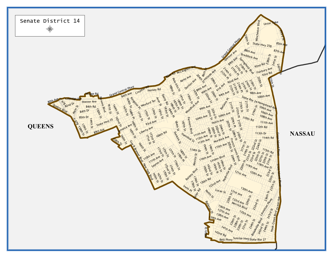